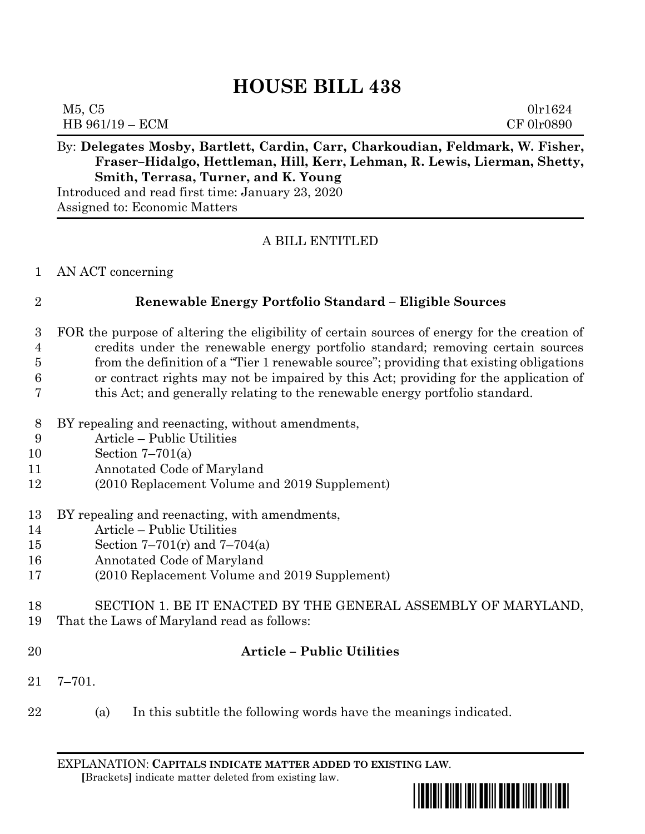# **HOUSE BILL 438**

| M5, C5          | 0lr1624    |
|-----------------|------------|
| HB 961/19 - ECM | CF 01r0890 |

## By: **Delegates Mosby, Bartlett, Cardin, Carr, Charkoudian, Feldmark, W. Fisher, Fraser–Hidalgo, Hettleman, Hill, Kerr, Lehman, R. Lewis, Lierman, Shetty, Smith, Terrasa, Turner, and K. Young**

Introduced and read first time: January 23, 2020 Assigned to: Economic Matters

### A BILL ENTITLED

### AN ACT concerning

### **Renewable Energy Portfolio Standard – Eligible Sources**

- FOR the purpose of altering the eligibility of certain sources of energy for the creation of credits under the renewable energy portfolio standard; removing certain sources from the definition of a "Tier 1 renewable source"; providing that existing obligations or contract rights may not be impaired by this Act; providing for the application of this Act; and generally relating to the renewable energy portfolio standard.
- BY repealing and reenacting, without amendments,
- Article Public Utilities
- Section 7–701(a)
- Annotated Code of Maryland
- (2010 Replacement Volume and 2019 Supplement)
- BY repealing and reenacting, with amendments,
- Article Public Utilities
- Section 7–701(r) and 7–704(a)
- Annotated Code of Maryland
- (2010 Replacement Volume and 2019 Supplement)
- SECTION 1. BE IT ENACTED BY THE GENERAL ASSEMBLY OF MARYLAND,
- That the Laws of Maryland read as follows:
- 

### **Article – Public Utilities**

- 7–701.
- (a) In this subtitle the following words have the meanings indicated.

EXPLANATION: **CAPITALS INDICATE MATTER ADDED TO EXISTING LAW**.  **[**Brackets**]** indicate matter deleted from existing law.

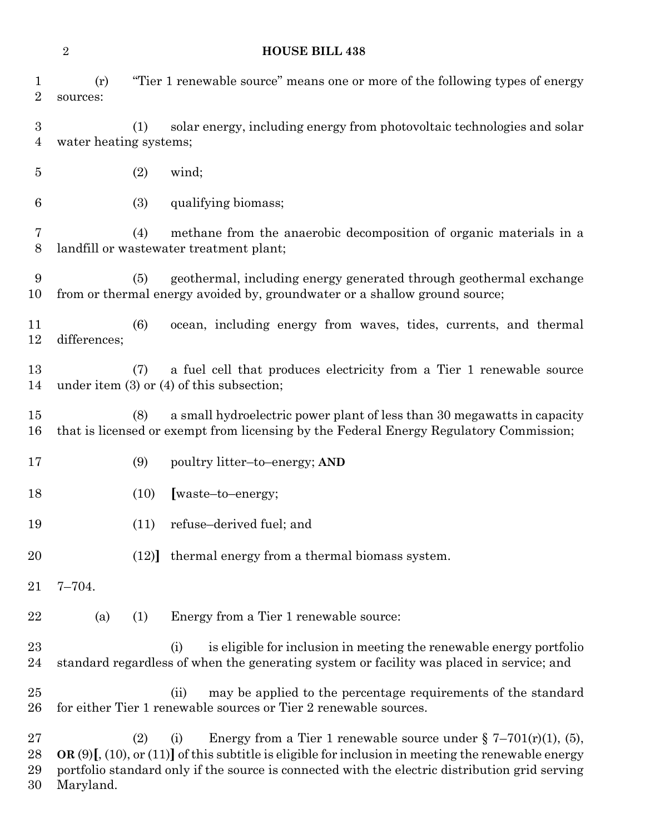### **HOUSE BILL 438**

| $\mathbf 1$<br>2      | (r)<br>sources:                                                                                          |      | "Tier 1 renewable source" means one or more of the following types of energy                                                                                                                                                                                                               |
|-----------------------|----------------------------------------------------------------------------------------------------------|------|--------------------------------------------------------------------------------------------------------------------------------------------------------------------------------------------------------------------------------------------------------------------------------------------|
| $\boldsymbol{3}$<br>4 | solar energy, including energy from photovoltaic technologies and solar<br>(1)<br>water heating systems; |      |                                                                                                                                                                                                                                                                                            |
| $\overline{5}$        |                                                                                                          | (2)  | wind;                                                                                                                                                                                                                                                                                      |
| 6                     |                                                                                                          | (3)  | qualifying biomass;                                                                                                                                                                                                                                                                        |
| 7<br>8                |                                                                                                          | (4)  | methane from the anaerobic decomposition of organic materials in a<br>landfill or wastewater treatment plant;                                                                                                                                                                              |
| 9<br>10               |                                                                                                          | (5)  | geothermal, including energy generated through geothermal exchange<br>from or thermal energy avoided by, groundwater or a shallow ground source;                                                                                                                                           |
| 11<br>12              | differences;                                                                                             | (6)  | ocean, including energy from waves, tides, currents, and thermal                                                                                                                                                                                                                           |
| 13<br>14              |                                                                                                          | (7)  | a fuel cell that produces electricity from a Tier 1 renewable source<br>under item $(3)$ or $(4)$ of this subsection;                                                                                                                                                                      |
| 15<br>16              |                                                                                                          | (8)  | a small hydroelectric power plant of less than 30 megawatts in capacity<br>that is licensed or exempt from licensing by the Federal Energy Regulatory Commission;                                                                                                                          |
| 17                    |                                                                                                          | (9)  | poultry litter-to-energy; AND                                                                                                                                                                                                                                                              |
| 18                    |                                                                                                          | (10) | [waste-to-energy;                                                                                                                                                                                                                                                                          |
| 19                    |                                                                                                          | (11) | refuse–derived fuel; and                                                                                                                                                                                                                                                                   |
| 20                    |                                                                                                          | (12) | thermal energy from a thermal biomass system.                                                                                                                                                                                                                                              |
| 21                    | $7 - 704.$                                                                                               |      |                                                                                                                                                                                                                                                                                            |
| 22                    | (a)                                                                                                      | (1)  | Energy from a Tier 1 renewable source:                                                                                                                                                                                                                                                     |
| 23<br>24              |                                                                                                          |      | is eligible for inclusion in meeting the renewable energy portfolio<br>(i)<br>standard regardless of when the generating system or facility was placed in service; and                                                                                                                     |
| 25<br>26              |                                                                                                          |      | may be applied to the percentage requirements of the standard<br>(ii)<br>for either Tier 1 renewable sources or Tier 2 renewable sources.                                                                                                                                                  |
| 27<br>28<br>29<br>30  | Maryland.                                                                                                | (2)  | Energy from a Tier 1 renewable source under $\S$ 7-701(r)(1), (5),<br>(i)<br>OR $(9)$ [, $(10)$ , or $(11)$ ] of this subtitle is eligible for inclusion in meeting the renewable energy<br>portfolio standard only if the source is connected with the electric distribution grid serving |